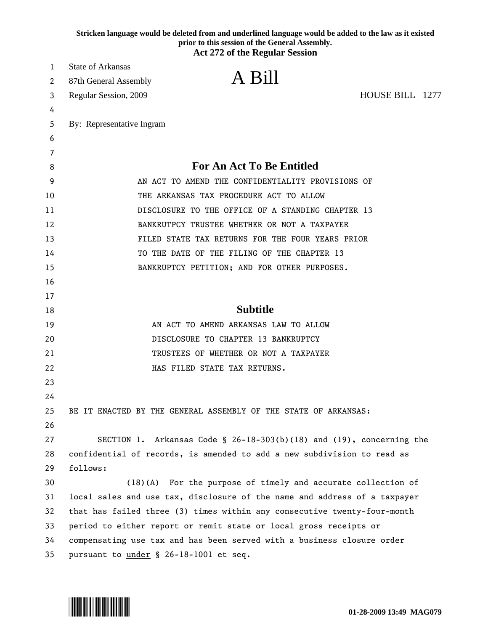|    | Stricken language would be deleted from and underlined language would be added to the law as it existed<br>prior to this session of the General Assembly.<br><b>Act 272 of the Regular Session</b> |
|----|----------------------------------------------------------------------------------------------------------------------------------------------------------------------------------------------------|
| 1  | <b>State of Arkansas</b>                                                                                                                                                                           |
| 2  | A Bill<br>87th General Assembly                                                                                                                                                                    |
| 3  | HOUSE BILL 1277<br>Regular Session, 2009                                                                                                                                                           |
| 4  |                                                                                                                                                                                                    |
| 5  | By: Representative Ingram                                                                                                                                                                          |
| 6  |                                                                                                                                                                                                    |
| 7  |                                                                                                                                                                                                    |
| 8  | <b>For An Act To Be Entitled</b>                                                                                                                                                                   |
| 9  | AN ACT TO AMEND THE CONFIDENTIALITY PROVISIONS OF                                                                                                                                                  |
| 10 | THE ARKANSAS TAX PROCEDURE ACT TO ALLOW                                                                                                                                                            |
| 11 | DISCLOSURE TO THE OFFICE OF A STANDING CHAPTER 13                                                                                                                                                  |
| 12 | BANKRUTPCY TRUSTEE WHETHER OR NOT A TAXPAYER                                                                                                                                                       |
| 13 | FILED STATE TAX RETURNS FOR THE FOUR YEARS PRIOR                                                                                                                                                   |
| 14 | TO THE DATE OF THE FILING OF THE CHAPTER 13                                                                                                                                                        |
| 15 | BANKRUPTCY PETITION; AND FOR OTHER PURPOSES.                                                                                                                                                       |
| 16 |                                                                                                                                                                                                    |
| 17 |                                                                                                                                                                                                    |
| 18 | <b>Subtitle</b>                                                                                                                                                                                    |
| 19 | AN ACT TO AMEND ARKANSAS LAW TO ALLOW                                                                                                                                                              |
| 20 | DISCLOSURE TO CHAPTER 13 BANKRUPTCY                                                                                                                                                                |
| 21 | TRUSTEES OF WHETHER OR NOT A TAXPAYER                                                                                                                                                              |
| 22 | HAS FILED STATE TAX RETURNS.                                                                                                                                                                       |
| 23 |                                                                                                                                                                                                    |
| 24 |                                                                                                                                                                                                    |
| 25 | BE IT ENACTED BY THE GENERAL ASSEMBLY OF THE STATE OF ARKANSAS:                                                                                                                                    |
| 26 |                                                                                                                                                                                                    |
| 27 | SECTION 1. Arkansas Code § 26-18-303(b)(18) and (19), concerning the                                                                                                                               |
| 28 | confidential of records, is amended to add a new subdivision to read as                                                                                                                            |
| 29 | follows:                                                                                                                                                                                           |
| 30 | (18)(A) For the purpose of timely and accurate collection of                                                                                                                                       |
| 31 | local sales and use tax, disclosure of the name and address of a taxpayer                                                                                                                          |
| 32 | that has failed three (3) times within any consecutive twenty-four-month                                                                                                                           |
| 33 | period to either report or remit state or local gross receipts or                                                                                                                                  |
| 34 | compensating use tax and has been served with a business closure order                                                                                                                             |
| 35 | pursuant to under § 26-18-1001 et seq.                                                                                                                                                             |